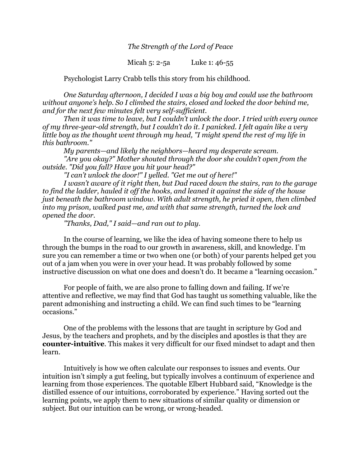*The Strength of the Lord of Peace*

Micah 5: 2-5a Luke 1: 46-55

Psychologist Larry Crabb tells this story from his childhood.

*One Saturday afternoon, I decided I was a big boy and could use the bathroom without anyone's help. So I climbed the stairs, closed and locked the door behind me, and for the next few minutes felt very self-sufficient.* 

*Then it was time to leave, but I couldn't unlock the door. I tried with every ounce of my three-year-old strength, but I couldn't do it. I panicked. I felt again like a very little boy as the thought went through my head, "I might spend the rest of my life in this bathroom."* 

*My parents—and likely the neighbors—heard my desperate scream.* 

*"Are you okay?" Mother shouted through the door she couldn't open from the outside. "Did you fall? Have you hit your head?"*

*"I can't unlock the door!" I yelled. "Get me out of here!"* 

*I wasn't aware of it right then, but Dad raced down the stairs, ran to the garage to find the ladder, hauled it off the hooks, and leaned it against the side of the house just beneath the bathroom window. With adult strength, he pried it open, then climbed into my prison, walked past me, and with that same strength, turned the lock and opened the door.*

*"Thanks, Dad," I said—and ran out to play.*

In the course of learning, we like the idea of having someone there to help us through the bumps in the road to our growth in awareness, skill, and knowledge. I'm sure you can remember a time or two when one (or both) of your parents helped get you out of a jam when you were in over your head. It was probably followed by some instructive discussion on what one does and doesn't do. It became a "learning occasion."

For people of faith, we are also prone to falling down and failing. If we're attentive and reflective, we may find that God has taught us something valuable, like the parent admonishing and instructing a child. We can find such times to be "learning occasions."

One of the problems with the lessons that are taught in scripture by God and Jesus, by the teachers and prophets, and by the disciples and apostles is that they are **counter-intuitive**. This makes it very difficult for our fixed mindset to adapt and then learn.

Intuitively is how we often calculate our responses to issues and events. Our intuition isn't simply a gut feeling, but typically involves a continuum of experience and learning from those experiences. The quotable Elbert Hubbard said, "Knowledge is the distilled essence of our intuitions, corroborated by experience." Having sorted out the learning points, we apply them to new situations of similar quality or dimension or subject. But our intuition can be wrong, or wrong-headed.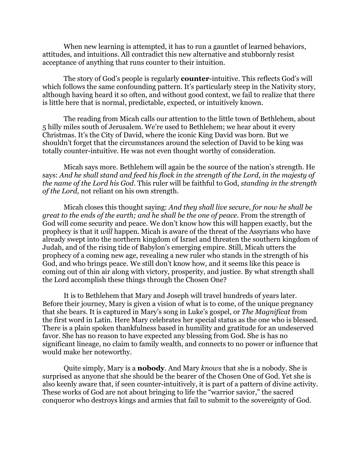When new learning is attempted, it has to run a gauntlet of learned behaviors, attitudes, and intuitions. All contradict this new alternative and stubbornly resist acceptance of anything that runs counter to their intuition.

The story of God's people is regularly **counter**-intuitive. This reflects God's will which follows the same confounding pattern. It's particularly steep in the Nativity story, although having heard it so often, and without good context, we fail to realize that there is little here that is normal, predictable, expected, or intuitively known.

The reading from Micah calls our attention to the little town of Bethlehem, about 5 hilly miles south of Jerusalem. We're used to Bethlehem; we hear about it every Christmas. It's the City of David, where the iconic King David was born. But we shouldn't forget that the circumstances around the selection of David to be king was totally counter-intuitive. He was not even thought worthy of consideration.

Micah says more. Bethlehem will again be the source of the nation's strength. He says: *And he shall stand and feed his flock in the strength of the Lord, in the majesty of the name of the Lord his God*. This ruler will be faithful to God, *standing in the strength of the Lord*, not reliant on his own strength.

Micah closes this thought saying: *And they shall live secure, for now he shall be great to the ends of the earth; and he shall be the one of peace*. From the strength of God will come security and peace. We don't know how this will happen exactly, but the prophecy is that it *will* happen. Micah is aware of the threat of the Assyrians who have already swept into the northern kingdom of Israel and threaten the southern kingdom of Judah, and of the rising tide of Babylon's emerging empire. Still, Micah utters the prophecy of a coming new age, revealing a new ruler who stands in the strength of his God, and who brings peace. We still don't know how, and it seems like this peace is coming out of thin air along with victory, prosperity, and justice. By what strength shall the Lord accomplish these things through the Chosen One?

It is to Bethlehem that Mary and Joseph will travel hundreds of years later. Before their journey, Mary is given a vision of what is to come, of the unique pregnancy that she bears. It is captured in Mary's song in Luke's gospel, or *The Magnificat* from the first word in Latin. Here Mary celebrates her special status as the one who is blessed. There is a plain spoken thankfulness based in humility and gratitude for an undeserved favor. She has no reason to have expected any blessing from God. She is has no significant lineage, no claim to family wealth, and connects to no power or influence that would make her noteworthy.

Quite simply, Mary is a **nobody**. And Mary *knows* that she is a nobody. She is surprised as anyone that she should be the bearer of the Chosen One of God. Yet she is also keenly aware that, if seen counter-intuitively, it is part of a pattern of divine activity. These works of God are not about bringing to life the "warrior savior," the sacred conqueror who destroys kings and armies that fail to submit to the sovereignty of God.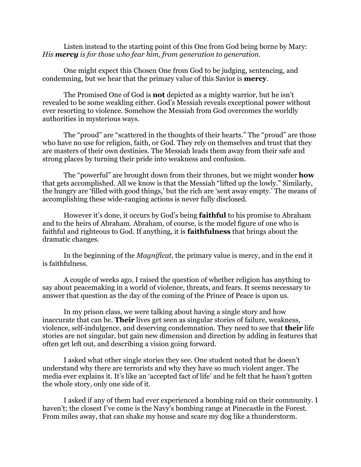Listen instead to the starting point of this One from God being borne by Mary: *His mercy is for those who fear him, from generation to generation.*

One might expect this Chosen One from God to be judging, sentencing, and condemning, but we hear that the primary value of this Savior is **mercy**.

The Promised One of God is **not** depicted as a mighty warrior, but he isn't revealed to be some weakling either. God's Messiah reveals exceptional power without ever resorting to violence. Somehow the Messiah from God overcomes the worldly authorities in mysterious ways.

The "proud" are "scattered in the thoughts of their hearts." The "proud" are those who have no use for religion, faith, or God. They rely on themselves and trust that they are masters of their own destinies. The Messiah leads them away from their safe and strong places by turning their pride into weakness and confusion.

The "powerful" are brought down from their thrones, but we might wonder **how** that gets accomplished. All we know is that the Messiah "lifted up the lowly." Similarly, the hungry are 'filled with good things,' but the rich are 'sent away empty.' The means of accomplishing these wide-ranging actions is never fully disclosed.

However it's done, it occurs by God's being **faithful** to his promise to Abraham and to the heirs of Abraham. Abraham, of course, is the model figure of one who is faithful and righteous to God. If anything, it is **faithfulness** that brings about the dramatic changes.

In the beginning of the *Magnificat*, the primary value is mercy, and in the end it is faithfulness.

A couple of weeks ago, I raised the question of whether religion has anything to say about peacemaking in a world of violence, threats, and fears. It seems necessary to answer that question as the day of the coming of the Prince of Peace is upon us.

In my prison class, we were talking about having a single story and how inaccurate that can be. **Their** lives get seen as singular stories of failure, weakness, violence, self-indulgence, and deserving condemnation. They need to see that **their** life stories are not singular, but gain new dimension and direction by adding in features that often get left out, and describing a vision going forward.

I asked what other single stories they see. One student noted that he doesn't understand why there are terrorists and why they have so much violent anger. The media ever explains it. It's like an 'accepted fact of life' and he felt that he hasn't gotten the whole story, only one side of it.

I asked if any of them had ever experienced a bombing raid on their community. I haven't; the closest I've come is the Navy's bombing range at Pinecastle in the Forest. From miles away, that can shake my house and scare my dog like a thunderstorm.